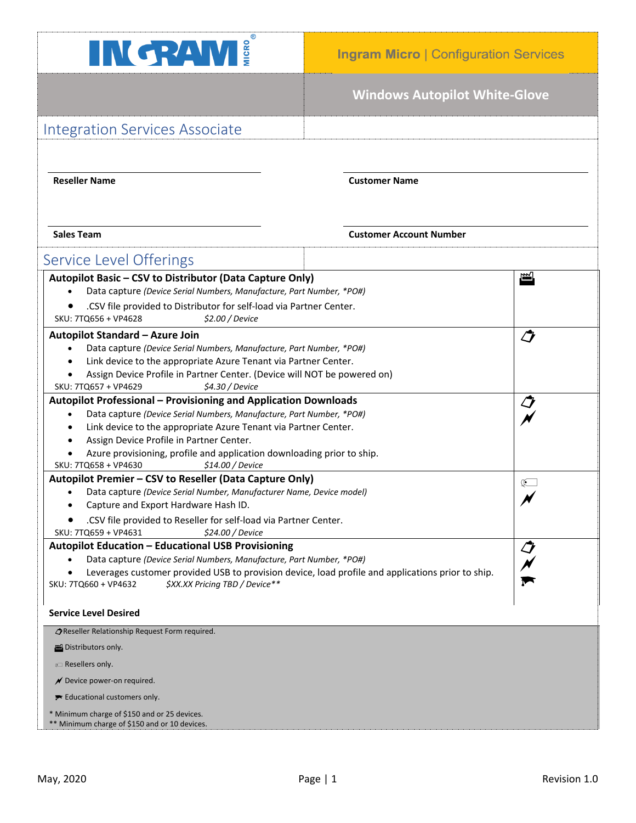

## **Windows Autopilot White-Glove**

| <b>Integration Services Associate</b>                                                                                                                       |                                |   |
|-------------------------------------------------------------------------------------------------------------------------------------------------------------|--------------------------------|---|
|                                                                                                                                                             |                                |   |
|                                                                                                                                                             |                                |   |
| <b>Reseller Name</b>                                                                                                                                        | <b>Customer Name</b>           |   |
|                                                                                                                                                             |                                |   |
|                                                                                                                                                             |                                |   |
| <b>Sales Team</b>                                                                                                                                           | <b>Customer Account Number</b> |   |
|                                                                                                                                                             |                                |   |
| Service Level Offerings                                                                                                                                     |                                |   |
| Autopilot Basic - CSV to Distributor (Data Capture Only)                                                                                                    |                                | 岡 |
| Data capture (Device Serial Numbers, Manufacture, Part Number, *PO#)                                                                                        |                                |   |
| .CSV file provided to Distributor for self-load via Partner Center.<br>SKU: 7TQ656 + VP4628<br>\$2.00 / Device                                              |                                |   |
| $\boldsymbol{\mathcal{O}}$<br>Autopilot Standard - Azure Join                                                                                               |                                |   |
| Data capture (Device Serial Numbers, Manufacture, Part Number, *PO#)<br>$\bullet$                                                                           |                                |   |
| Link device to the appropriate Azure Tenant via Partner Center.                                                                                             |                                |   |
| Assign Device Profile in Partner Center. (Device will NOT be powered on)<br>SKU: 7TQ657 + VP4629<br>\$4.30 / Device                                         |                                |   |
| <b>Autopilot Professional - Provisioning and Application Downloads</b><br>J                                                                                 |                                |   |
| Data capture (Device Serial Numbers, Manufacture, Part Number, *PO#)                                                                                        |                                |   |
| Link device to the appropriate Azure Tenant via Partner Center.                                                                                             |                                |   |
| Assign Device Profile in Partner Center.                                                                                                                    |                                |   |
| Azure provisioning, profile and application downloading prior to ship.<br>SKU: 7TQ658 + VP4630<br>\$14.00 / Device                                          |                                |   |
| Autopilot Premier - CSV to Reseller (Data Capture Only)<br>Œ                                                                                                |                                |   |
| Data capture (Device Serial Number, Manufacturer Name, Device model)                                                                                        |                                |   |
| Capture and Export Hardware Hash ID.<br>٠                                                                                                                   |                                |   |
| .CSV file provided to Reseller for self-load via Partner Center.<br>SKU: 7TQ659 + VP4631<br><i><b>\$24.00 / Device</b></i>                                  |                                |   |
| <b>Autopilot Education - Educational USB Provisioning</b><br>IJ                                                                                             |                                |   |
| Data capture (Device Serial Numbers, Manufacture, Part Number, *PO#)                                                                                        |                                |   |
| Leverages customer provided USB to provision device, load profile and applications prior to ship.<br>\$XX.XX Pricing TBD / Device**<br>SKU: 7TQ660 + VP4632 |                                |   |
|                                                                                                                                                             |                                |   |
| <b>Service Level Desired</b>                                                                                                                                |                                |   |
| OReseller Relationship Request Form required.                                                                                                               |                                |   |
| Distributors only.                                                                                                                                          |                                |   |
| <b>Example 2</b> Resellers only.                                                                                                                            |                                |   |
| $\mathcal N$ Device power-on required.                                                                                                                      |                                |   |
| Educational customers only.                                                                                                                                 |                                |   |
| * Minimum charge of \$150 and or 25 devices.                                                                                                                |                                |   |
| ** Minimum charge of \$150 and or 10 devices.                                                                                                               |                                |   |
|                                                                                                                                                             |                                |   |